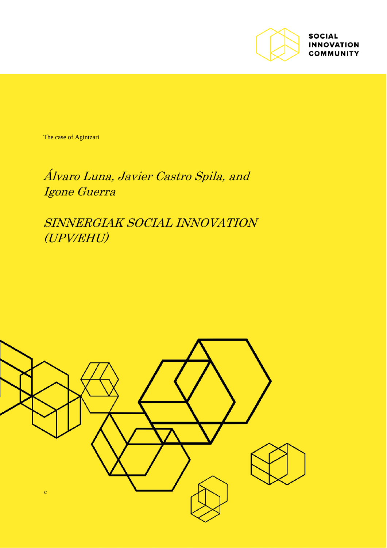

**SOCIAL INNOVATION COMMUNITY** 

The case of Agintzari

Álvaro Luna, Javier Castro Spila, and Igone Guerra

SINNERGIAK SOCIAL INNOVATION (UPV/EHU)

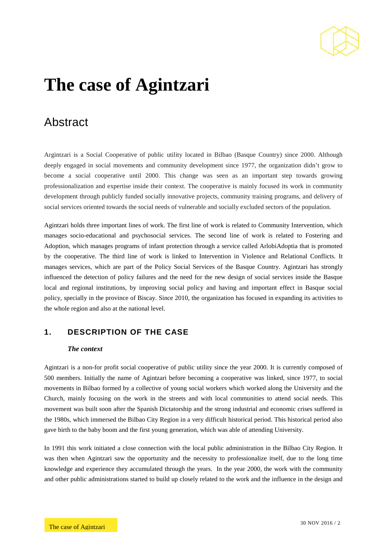

# **The case of Agintzari**

# Abstract

Argintzari is a Social Cooperative of public utility located in Bilbao (Basque Country) since 2000. Although deeply engaged in social movements and community development since 1977, the organization didn't grow to become a social cooperative until 2000. This change was seen as an important step towards growing professionalization and expertise inside their context. The cooperative is mainly focused its work in community development through publicly funded socially innovative projects, community training programs, and delivery of social services oriented towards the social needs of vulnerable and socially excluded sectors of the population.

Agintzari holds three important lines of work. The first line of work is related to Community Intervention, which manages socio-educational and psychosocial services. The second line of work is related to Fostering and Adoption, which manages programs of infant protection through a service called ArlobiAdoptia that is promoted by the cooperative. The third line of work is linked to Intervention in Violence and Relational Conflicts. It manages services, which are part of the Policy Social Services of the Basque Country. Agintzari has strongly influenced the detection of policy failures and the need for the new design of social services inside the Basque local and regional institutions, by improving social policy and having and important effect in Basque social policy, specially in the province of Biscay. Since 2010, the organization has focused in expanding its activities to the whole region and also at the national level.

# **1. DESCRIPTION OF THE CASE**

### *The context*

Agintzari is a non-for profit social cooperative of public utility since the year 2000. It is currently composed of 500 members. Initially the name of Agintzari before becoming a cooperative was linked, since 1977, to social movements in Bilbao formed by a collective of young social workers which worked along the University and the Church, mainly focusing on the work in the streets and with local communities to attend social needs. This movement was built soon after the Spanish Dictatorship and the strong industrial and economic crises suffered in the 1980s, which immersed the Bilbao City Region in a very difficult historical period. This historical period also gave birth to the baby boom and the first young generation, which was able of attending University.

In 1991 this work initiated a close connection with the local public administration in the Bilbao City Region. It was then when Agintzari saw the opportunity and the necessity to professionalize itself, due to the long time knowledge and experience they accumulated through the years. In the year 2000, the work with the community and other public administrations started to build up closely related to the work and the influence in the design and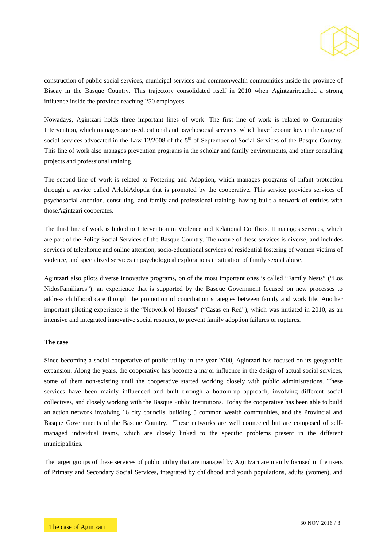

construction of public social services, municipal services and commonwealth communities inside the province of Biscay in the Basque Country. This trajectory consolidated itself in 2010 when Agintzarireached a strong influence inside the province reaching 250 employees.

Nowadays, Agintzari holds three important lines of work. The first line of work is related to Community Intervention, which manages socio-educational and psychosocial services, which have become key in the range of social services advocated in the Law 12/2008 of the  $5<sup>th</sup>$  of September of Social Services of the Basque Country. This line of work also manages prevention programs in the scholar and family environments, and other consulting projects and professional training.

The second line of work is related to Fostering and Adoption, which manages programs of infant protection through a service called ArlobiAdoptia that is promoted by the cooperative. This service provides services of psychosocial attention, consulting, and family and professional training, having built a network of entities with thoseAgintzari cooperates.

The third line of work is linked to Intervention in Violence and Relational Conflicts. It manages services, which are part of the Policy Social Services of the Basque Country. The nature of these services is diverse, and includes services of telephonic and online attention, socio-educational services of residential fostering of women victims of violence, and specialized services in psychological explorations in situation of family sexual abuse.

Agintzari also pilots diverse innovative programs, on of the most important ones is called "Family Nests" ("Los NidosFamiliares"); an experience that is supported by the Basque Government focused on new processes to address childhood care through the promotion of conciliation strategies between family and work life. Another important piloting experience is the "Network of Houses" ("Casas en Red"), which was initiated in 2010, as an intensive and integrated innovative social resource, to prevent family adoption failures or ruptures.

#### **The case**

Since becoming a social cooperative of public utility in the year 2000, Agintzari has focused on its geographic expansion. Along the years, the cooperative has become a major influence in the design of actual social services, some of them non-existing until the cooperative started working closely with public administrations. These services have been mainly influenced and built through a bottom-up approach, involving different social collectives, and closely working with the Basque Public Institutions. Today the cooperative has been able to build an action network involving 16 city councils, building 5 common wealth communities, and the Provincial and Basque Governments of the Basque Country. These networks are well connected but are composed of selfmanaged individual teams, which are closely linked to the specific problems present in the different municipalities.

The target groups of these services of public utility that are managed by Agintzari are mainly focused in the users of Primary and Secondary Social Services, integrated by childhood and youth populations, adults (women), and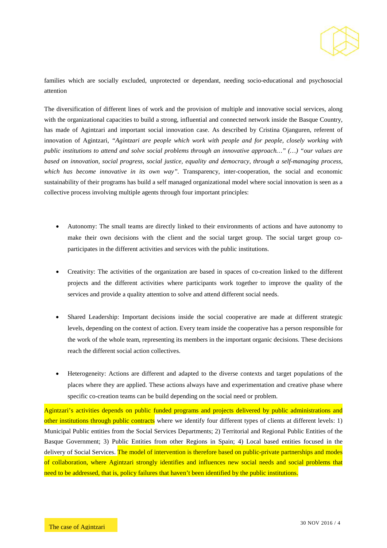

families which are socially excluded, unprotected or dependant, needing socio-educational and psychosocial attention

The diversification of different lines of work and the provision of multiple and innovative social services, along with the organizational capacities to build a strong, influential and connected network inside the Basque Country, has made of Agintzari and important social innovation case. As described by Cristina Ojanguren, referent of innovation of Agintzari, *"Agintzari are people which work with people and for people, closely working with public institutions to attend and solve social problems through an innovative approach…" (…) "our values are based on innovation, social progress, social justice, equality and democracy, through a self-managing process, which has become innovative in its own way".* Transparency, inter-cooperation, the social and economic sustainability of their programs has build a self managed organizational model where social innovation is seen as a collective process involving multiple agents through four important principles:

- Autonomy: The small teams are directly linked to their environments of actions and have autonomy to make their own decisions with the client and the social target group. The social target group coparticipates in the different activities and services with the public institutions.
- Creativity: The activities of the organization are based in spaces of co-creation linked to the different projects and the different activities where participants work together to improve the quality of the services and provide a quality attention to solve and attend different social needs.
- Shared Leadership: Important decisions inside the social cooperative are made at different strategic levels, depending on the context of action. Every team inside the cooperative has a person responsible for the work of the whole team, representing its members in the important organic decisions. These decisions reach the different social action collectives.
- Heterogeneity: Actions are different and adapted to the diverse contexts and target populations of the places where they are applied. These actions always have and experimentation and creative phase where specific co-creation teams can be build depending on the social need or problem.

Agintzari's activities depends on public funded programs and projects delivered by public administrations and other institutions through public contracts where we identify four different types of clients at different levels: 1) Municipal Public entities from the Social Services Departments; 2) Territorial and Regional Public Entities of the Basque Government; 3) Public Entities from other Regions in Spain; 4) Local based entities focused in the delivery of Social Services. The model of intervention is therefore based on public-private partnerships and modes of collaboration, where Agintzari strongly identifies and influences new social needs and social problems that need to be addressed, that is, policy failures that haven't been identified by the public institutions.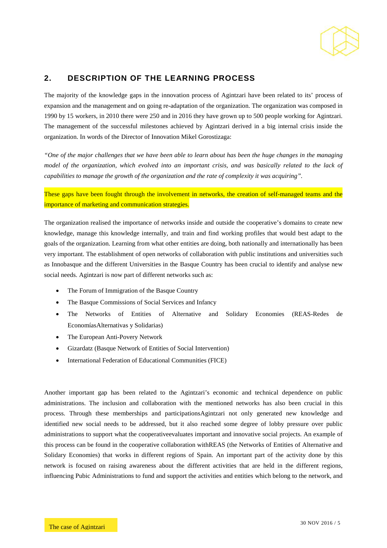

# **2. DESCRIPTION OF THE LEARNING PROCESS**

The majority of the knowledge gaps in the innovation process of Agintzari have been related to its' process of expansion and the management and on going re-adaptation of the organization. The organization was composed in 1990 by 15 workers, in 2010 there were 250 and in 2016 they have grown up to 500 people working for Agintzari. The management of the successful milestones achieved by Agintzari derived in a big internal crisis inside the organization. In words of the Director of Innovation Mikel Gorostizaga:

*"One of the major challenges that we have been able to learn about has been the huge changes in the managing model of the organization, which evolved into an important crisis, and was basically related to the lack of capabilities to manage the growth of the organization and the rate of complexity it was acquiring".*

These gaps have been fought through the involvement in networks, the creation of self-managed teams and the importance of marketing and communication strategies.

The organization realised the importance of networks inside and outside the cooperative's domains to create new knowledge, manage this knowledge internally, and train and find working profiles that would best adapt to the goals of the organization. Learning from what other entities are doing, both nationally and internationally has been very important. The establishment of open networks of collaboration with public institutions and universities such as Innobasque and the different Universities in the Basque Country has been crucial to identify and analyse new social needs. Agintzari is now part of different networks such as:

- The Forum of Immigration of the Basque Country
- The Basque Commissions of Social Services and Infancy
- The Networks of Entities of Alternative and Solidary Economies (REAS-Redes de EconomíasAlternativas y Solidarias)
- The European Anti-Povery Network
- Gizardatz (Basque Network of Entities of Social Intervention)
- International Federation of Educational Communities (FICE)

Another important gap has been related to the Agintzari's economic and technical dependence on public administrations. The inclusion and collaboration with the mentioned networks has also been crucial in this process. Through these memberships and participationsAgintzari not only generated new knowledge and identified new social needs to be addressed, but it also reached some degree of lobby pressure over public administrations to support what the cooperativeevaluates important and innovative social projects. An example of this process can be found in the cooperative collaboration withREAS (the Networks of Entities of Alternative and Solidary Economies) that works in different regions of Spain. An important part of the activity done by this network is focused on raising awareness about the different activities that are held in the different regions, influencing Pubic Administrations to fund and support the activities and entities which belong to the network, and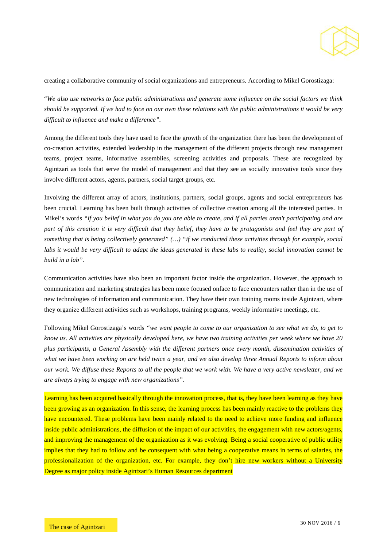

creating a collaborative community of social organizations and entrepreneurs. According to Mikel Gorostizaga:

"*We also use networks to face public administrations and generate some influence on the social factors we think should be supported. If we had to face on our own these relations with the public administrations it would be very difficult to influence and make a difference".*

Among the different tools they have used to face the growth of the organization there has been the development of co-creation activities, extended leadership in the management of the different projects through new management teams, project teams, informative assemblies, screening activities and proposals. These are recognized by Agintzari as tools that serve the model of management and that they see as socially innovative tools since they involve different actors, agents, partners, social target groups, etc.

Involving the different array of actors, institutions, partners, social groups, agents and social entrepreneurs has been crucial. Learning has been built through activities of collective creation among all the interested parties. In Mikel's words *"if you belief in what you do you are able to create, and if all parties aren't participating and are part of this creation it is very difficult that they belief, they have to be protagonists and feel they are part of something that is being collectively generated" (…) "if we conducted these activities through for example, social*  labs it would be very difficult to adapt the ideas generated in these labs to reality, social innovation cannot be *build in a lab".* 

Communication activities have also been an important factor inside the organization. However, the approach to communication and marketing strategies has been more focused onface to face encounters rather than in the use of new technologies of information and communication. They have their own training rooms inside Agintzari, where they organize different activities such as workshops, training programs, weekly informative meetings, etc.

Following Mikel Gorostizaga's words *"we want people to come to our organization to see what we do, to get to know us. All activities are physically developed here, we have two training activities per week where we have 20 plus participants, a General Assembly with the different partners once every month, dissemination activities of*  what we have been working on are held twice a year, and we also develop three Annual Reports to inform about *our work. We diffuse these Reports to all the people that we work with. We have a very active newsletter, and we are always trying to engage with new organizations".*

Learning has been acquired basically through the innovation process, that is, they have been learning as they have been growing as an organization. In this sense, the learning process has been mainly reactive to the problems they have encountered. These problems have been mainly related to the need to achieve more funding and influence inside public administrations, the diffusion of the impact of our activities, the engagement with new actors/agents, and improving the management of the organization as it was evolving. Being a social cooperative of public utility implies that they had to follow and be consequent with what being a cooperative means in terms of salaries, the professionalization of the organization, etc. For example, they don't hire new workers without a University Degree as major policy inside Agintzari's Human Resources department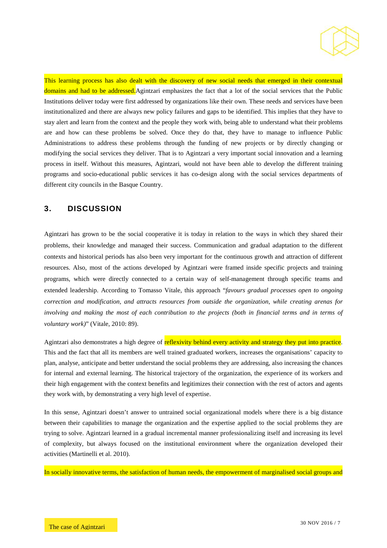

This learning process has also dealt with the discovery of new social needs that emerged in their contextual domains and had to be addressed.Agintzari emphasizes the fact that a lot of the social services that the Public Institutions deliver today were first addressed by organizations like their own. These needs and services have been institutionalized and there are always new policy failures and gaps to be identified. This implies that they have to stay alert and learn from the context and the people they work with, being able to understand what their problems are and how can these problems be solved. Once they do that, they have to manage to influence Public Administrations to address these problems through the funding of new projects or by directly changing or modifying the social services they deliver. That is to Agintzari a very important social innovation and a learning process in itself. Without this measures, Agintzari, would not have been able to develop the different training programs and socio-educational public services it has co-design along with the social services departments of different city councils in the Basque Country.

# **3. DISCUSSION**

Agintzari has grown to be the social cooperative it is today in relation to the ways in which they shared their problems, their knowledge and managed their success. Communication and gradual adaptation to the different contexts and historical periods has also been very important for the continuous growth and attraction of different resources. Also, most of the actions developed by Agintzari were framed inside specific projects and training programs, which were directly connected to a certain way of self-management through specific teams and extended leadership. According to Tomasso Vitale, this approach "*favours gradual processes open to ongoing correction and modification, and attracts resources from outside the organization, while creating arenas for involving and making the most of each contribution to the projects (both in financial terms and in terms of voluntary work)*" (Vitale, 2010: 89).

Agintzari also demonstrates a high degree of reflexivity behind every activity and strategy they put into practice. This and the fact that all its members are well trained graduated workers, increases the organisations' capacity to plan, analyse, anticipate and better understand the social problems they are addressing, also increasing the chances for internal and external learning. The historical trajectory of the organization, the experience of its workers and their high engagement with the context benefits and legitimizes their connection with the rest of actors and agents they work with, by demonstrating a very high level of expertise.

In this sense, Agintzari doesn't answer to untrained social organizational models where there is a big distance between their capabilities to manage the organization and the expertise applied to the social problems they are trying to solve. Agintzari learned in a gradual incremental manner professionalizing itself and increasing its level of complexity, but always focused on the institutional environment where the organization developed their activities (Martinelli et al. 2010).

In socially innovative terms, the satisfaction of human needs, the empowerment of marginalised social groups and